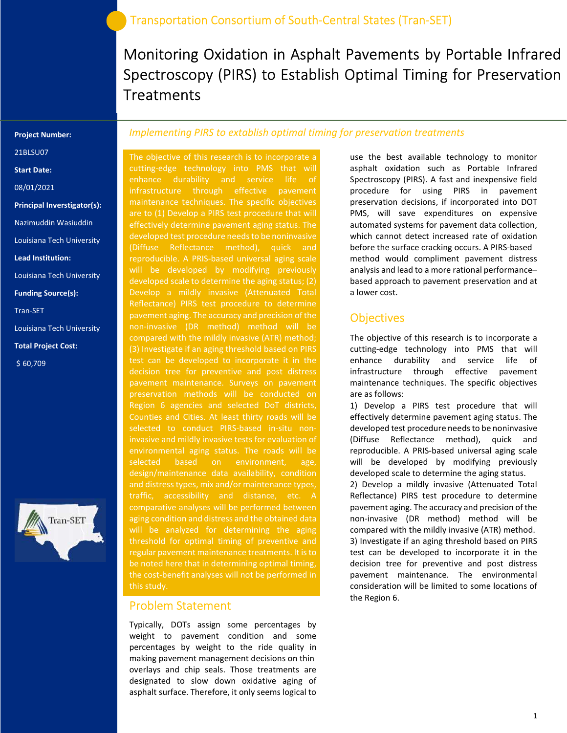Monitoring Oxidation in Asphalt Pavements by Portable Infrared Spectroscopy (PIRS) to Establish Optimal Timing for Preservation **Treatments** 

#### Project Number:

21BLSU07

Start Date:

08/01/2021

Principal Inverstigator(s):

Nazimuddin Wasiuddin

Louisiana Tech University

Lead Institution:

Louisiana Tech University

Funding Source(s):

Tran-SET

Louisiana Tech University

Total Project Cost:

\$ 60,709



### Implementing PIRS to extablish optimal timing for preservation treatments

The objective of this research is to incorporate a cutting-edge technology into PMS that will enhance durability and service life of infrastructure through effective pavement maintenance techniques. The specific objectives effectively determine pavement aging status. The developed test procedure needs to be noninvasive reproducible. A PRIS-based universal aging scale will be developed by modifying previously developed scale to determine the aging status; (2) Develop a mildly invasive (Attenuated Total Reflectance) PIRS test procedure to determine pavement aging. The accuracy and precision of the non-invasive (DR method) method will be compared with the mildly invasive (ATR) method; (3) Investigate if an aging threshold based on PIRS pavement maintenance. Surveys on pavement Region 6 agencies and selected DoT districts, selected to conduct PIRS-based in-situ noninvasive and mildly invasive tests for evaluation of environmental aging status. The roads will be selected based on environment, age, design/maintenance data availability, condition and distress types, mix and/or maintenance types, traffic, accessibility and distance, etc. A comparative analyses will be performed between aging condition and distress and the obtained data will be analyzed for determining the aging threshold for optimal timing of preventive and regular pavement maintenance treatments. It is to be noted here that in determining optimal timing, this study.

### Problem Statement

Typically, DOTs assign some percentages by weight to pavement condition and some percentages by weight to the ride quality in making pavement management decisions on thin overlays and chip seals. Those treatments are designated to slow down oxidative aging of asphalt surface. Therefore, it only seems logical to

use the best available technology to monitor asphalt oxidation such as Portable Infrared Spectroscopy (PIRS). A fast and inexpensive field procedure for using PIRS in pavement preservation decisions, if incorporated into DOT PMS, will save expenditures on expensive automated systems for pavement data collection, which cannot detect increased rate of oxidation before the surface cracking occurs. A PIRS-based method would compliment pavement distress analysis and lead to a more rational performance– based approach to pavement preservation and at a lower cost.

#### **Objectives**

The objective of this research is to incorporate a cutting-edge technology into PMS that will enhance durability and service life of infrastructure through effective pavement maintenance techniques. The specific objectives are as follows:

1) Develop a PIRS test procedure that will effectively determine pavement aging status. The developed test procedure needs to be noninvasive (Diffuse Reflectance method), quick and reproducible. A PRIS-based universal aging scale will be developed by modifying previously developed scale to determine the aging status.

2) Develop a mildly invasive (Attenuated Total Reflectance) PIRS test procedure to determine pavement aging. The accuracy and precision of the non-invasive (DR method) method will be compared with the mildly invasive (ATR) method. 3) Investigate if an aging threshold based on PIRS test can be developed to incorporate it in the decision tree for preventive and post distress pavement maintenance. The environmental consideration will be limited to some locations of the Region 6.